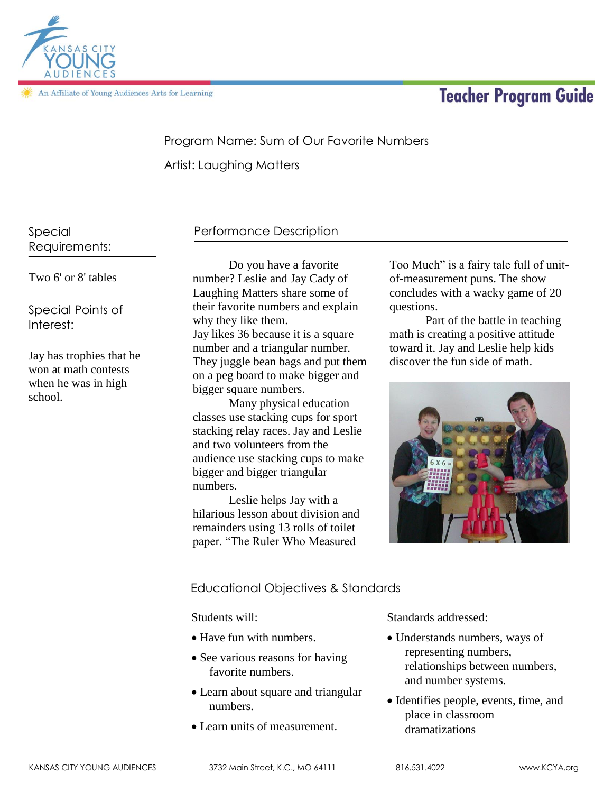

An Affiliate of Young Audiences Arts for Learning

# **Teacher Program Guide**

# Program Name: Sum of Our Favorite Numbers

Artist: Laughing Matters

Special Requirements:

## Two 6' or 8' tables

Special Points of Interest:

Jay has trophies that he won at math contests when he was in high school.

## Performance Description

Do you have a favorite number? Leslie and Jay Cady of Laughing Matters share some of their favorite numbers and explain why they like them. Jay likes 36 because it is a square number and a triangular number. They juggle bean bags and put them on a peg board to make bigger and bigger square numbers.

Many physical education classes use stacking cups for sport stacking relay races. Jay and Leslie and two volunteers from the audience use stacking cups to make bigger and bigger triangular numbers.

Leslie helps Jay with a hilarious lesson about division and remainders using 13 rolls of toilet paper. "The Ruler Who Measured

Too Much" is a fairy tale full of unitof-measurement puns. The show concludes with a wacky game of 20 questions.

Part of the battle in teaching math is creating a positive attitude toward it. Jay and Leslie help kids discover the fun side of math.



## Educational Objectives & Standards

## Students will:

- Have fun with numbers.
- See various reasons for having favorite numbers.
- Learn about square and triangular numbers.
- Learn units of measurement.

Standards addressed:

- Understands numbers, ways of representing numbers, relationships between numbers, and number systems.
- Identifies people, events, time, and place in classroom dramatizations